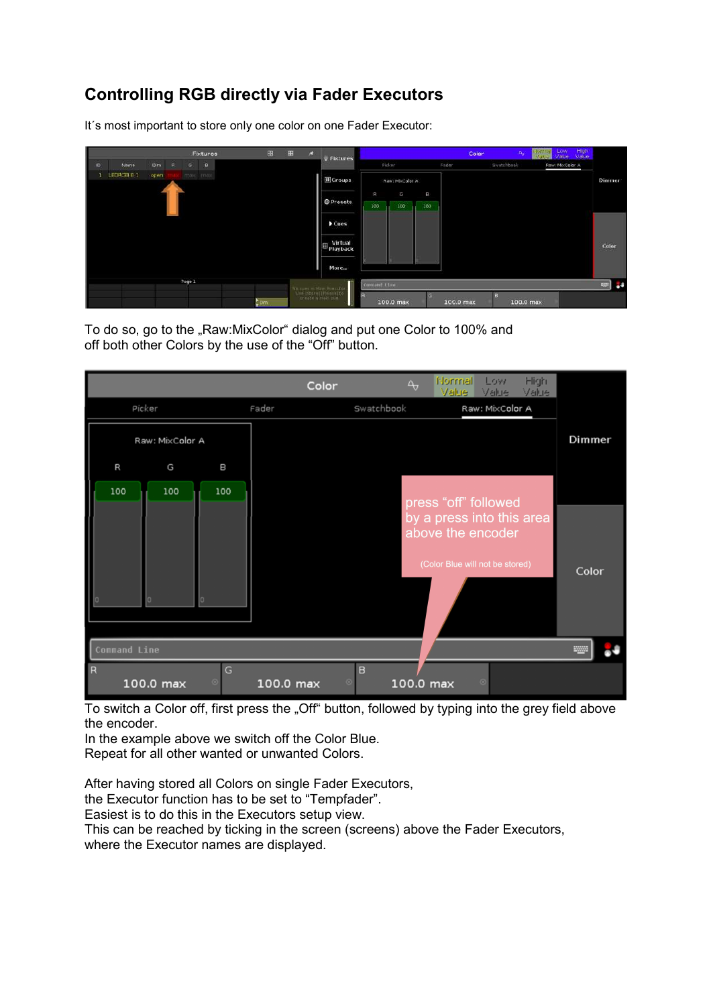## **Controlling RGB directly via Fader Executors**

It´s most important to store only one color on one Fader Executor:

|                     |      |     |   |              | Fixtures                              |  | 田                       | $\mathcal{R}$ | Fixtures                                                                    |                |                |              |           | Color      | High<br>Low<br><b>Hortreal</b><br>$\Delta_{\rm cr}$<br>Vaue<br><b>Value</b> | Value. |
|---------------------|------|-----|---|--------------|---------------------------------------|--|-------------------------|---------------|-----------------------------------------------------------------------------|----------------|----------------|--------------|-----------|------------|-----------------------------------------------------------------------------|--------|
| D                   | Name | Dim | R | G            | $\begin{array}{c} \hline \end{array}$ |  |                         |               |                                                                             |                | Picker         |              | Fader     | Swatchbook | Raw: MixColor A                                                             |        |
| LEDRGB B 1<br>open. |      |     |   | TERRIT TIMBE |                                       |  |                         |               | Groups                                                                      |                | Raw: McColor A |              |           |            |                                                                             | Dimmer |
|                     |      |     |   |              |                                       |  |                         |               |                                                                             | $\overline{R}$ | G              | $\mathbf{B}$ |           |            |                                                                             |        |
|                     |      |     |   |              |                                       |  |                         |               | <b>@Presets</b>                                                             | 100            | 100            | 100          |           |            |                                                                             |        |
|                     |      |     |   |              |                                       |  |                         |               | Cues                                                                        |                |                |              |           |            |                                                                             |        |
|                     |      |     |   |              |                                       |  |                         |               | Virtual<br>Playback                                                         |                |                |              |           |            |                                                                             | Color  |
|                     |      |     |   |              |                                       |  |                         |               | More                                                                        |                |                |              |           |            |                                                                             |        |
|                     |      |     |   | Page 1       |                                       |  |                         |               |                                                                             | Contand Cine   |                |              |           |            |                                                                             | ◎ ●    |
|                     |      |     |   |              |                                       |  | $\sum_{i=1}^{n} C_i(t)$ |               | No ques el Marc Burculor<br>Vice (Stare) (Picare) to<br>Les Vice y mais con |                | 100.0 max      | c.           | 100.0 max |            | 100.0 max                                                                   |        |

To do so, go to the "Raw:MixColor" dialog and put one Color to 100% and off both other Colors by the use of the "Off" button.

|                     |                 |              | Color     | $\Delta_{\sigma}$         | Normal<br>Value:                                                                  | Low<br>Value    | High<br>Value |        |
|---------------------|-----------------|--------------|-----------|---------------------------|-----------------------------------------------------------------------------------|-----------------|---------------|--------|
|                     | Picker          |              | Fader     | Swatchbook                |                                                                                   | Raw: MixColor A |               |        |
|                     | Raw: MixColor A |              |           |                           |                                                                                   |                 |               | Dimmer |
| R                   | G               | Β            |           |                           |                                                                                   |                 |               |        |
| 100                 | 100             | 100          |           |                           | press "off" followed                                                              |                 |               |        |
|                     |                 |              |           |                           | by a press into this area<br>above the encoder<br>(Color Blue will not be stored) |                 |               | Color  |
| <b>Command Line</b> |                 |              |           |                           |                                                                                   |                 |               |        |
| R                   | 100.0 max       | G<br>$\circ$ | 100.0 max | B<br>$\odot$<br>100.0 max |                                                                                   | $\odot$         |               |        |

To switch a Color off, first press the "Off" button, followed by typing into the grey field above the encoder.

In the example above we switch off the Color Blue.

Repeat for all other wanted or unwanted Colors.

After having stored all Colors on single Fader Executors,

the Executor function has to be set to "Tempfader".

Easiest is to do this in the Executors setup view.

This can be reached by ticking in the screen (screens) above the Fader Executors, where the Executor names are displayed.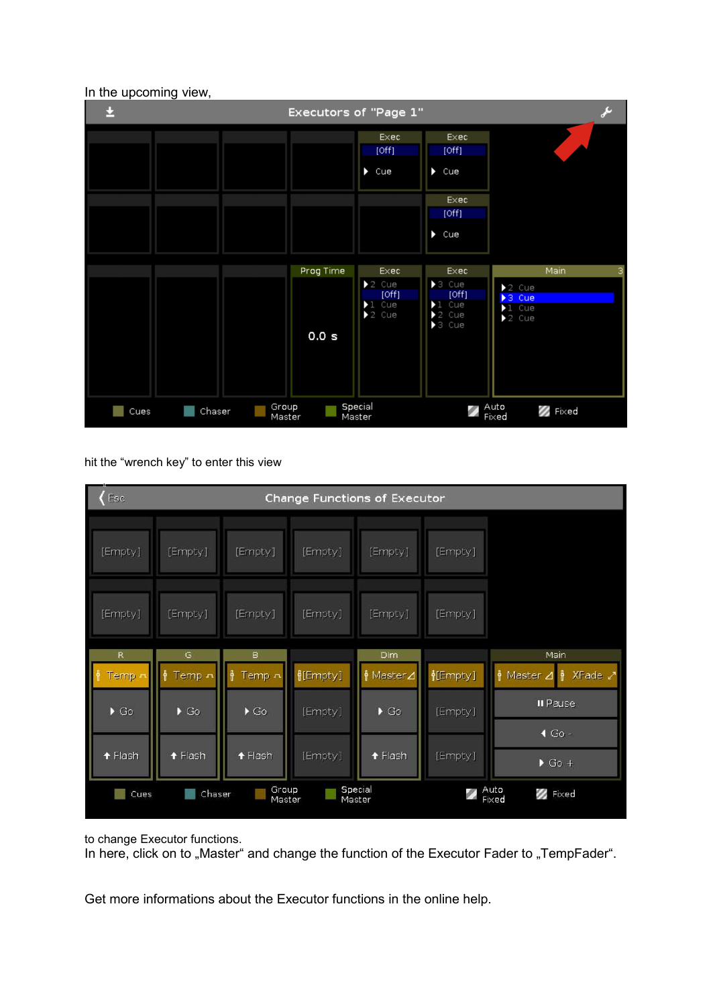

## In the upcoming view,

hit the "wrench key" to enter this view

| Esc<br>Change Functions of Executor |                          |                          |                 |                     |          |                                               |  |  |  |  |
|-------------------------------------|--------------------------|--------------------------|-----------------|---------------------|----------|-----------------------------------------------|--|--|--|--|
| [Empty]                             | [Empty]                  | [Empty]                  | [Empty]         | [Empty]             | [Empty]  |                                               |  |  |  |  |
| [Empty]                             | [Empty]                  | [Empty]                  | [Empty]         | [Empty]             | [Empty]  |                                               |  |  |  |  |
| R                                   | G                        | в                        |                 | Dim                 |          | Main                                          |  |  |  |  |
| Temp =                              | Temp n                   | 4<br>Temp n              | <b>≬[Empty]</b> | H Master⊿           | H[Empty] | 유<br>Master ⊿<br>류<br>XFade Z                 |  |  |  |  |
| $\triangleright$ Go                 | $\blacktriangleright$ Go | $\blacktriangleright$ Go | [Empty]         | $\triangleright$ Go | [Empty]  | <b>II</b> Pause                               |  |  |  |  |
| $f$ Flash                           | $f$ Flash                | $f$ Flash                | [Empty]         | t Flash             | [Empty]  | $\triangleleft$ Go -<br>$\triangleright$ Go + |  |  |  |  |
| Cues                                | Chaser                   | Group<br>Master          |                 | Special<br>Master   |          | Auto<br><b>B</b> Fixed<br>Fixed               |  |  |  |  |

to change Executor functions.

In here, click on to "Master" and change the function of the Executor Fader to "TempFader".

Get more informations about the Executor functions in the online help.